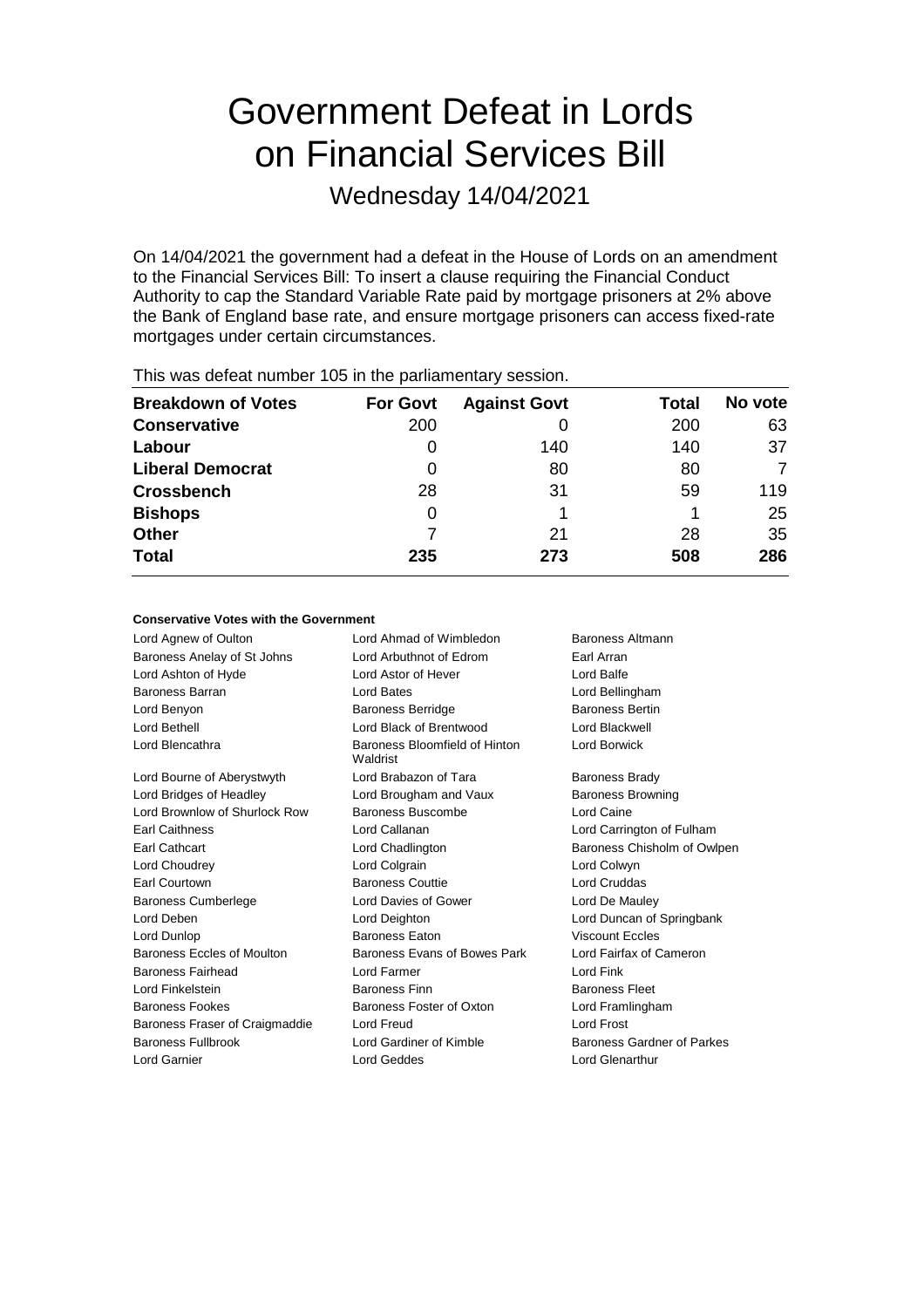# Government Defeat in Lords on Financial Services Bill

Wednesday 14/04/2021

On 14/04/2021 the government had a defeat in the House of Lords on an amendment to the Financial Services Bill: To insert a clause requiring the Financial Conduct Authority to cap the Standard Variable Rate paid by mortgage prisoners at 2% above the Bank of England base rate, and ensure mortgage prisoners can access fixed-rate mortgages under certain circumstances.

| <b>Breakdown of Votes</b> | <b>For Govt</b> | <b>Against Govt</b> | Total | No vote |
|---------------------------|-----------------|---------------------|-------|---------|
| <b>Conservative</b>       | 200             |                     | 200   | 63      |
| Labour                    |                 | 140                 | 140   | 37      |
| <b>Liberal Democrat</b>   | 0               | 80                  | 80    |         |
| <b>Crossbench</b>         | 28              | 31                  | 59    | 119     |
| <b>Bishops</b>            | 0               |                     |       | 25      |
| <b>Other</b>              |                 | 21                  | 28    | 35      |
| <b>Total</b>              | 235             | 273                 | 508   | 286     |
|                           |                 |                     |       |         |

This was defeat number 105 in the parliamentary session.

# **Conservative Votes with the Government**

Lord Agnew of Oulton **Lord Ahmad of Wimbledon** Baroness Altmann Baroness Anelay of St Johns Lord Arbuthnot of Edrom Earl Arran Lord Ashton of Hyde Lord Astor of Hever Lord Balfe Baroness Barran Lord Bates Lord Bellingham Lord Benyon Baroness Berridge Baroness Bertin Lord Bethell Lord Black of Brentwood Lord Blackwell Lord Blencathra **Baroness** Bloomfield of Hinton Waldrist Lord Borwick Lord Bourne of Aberystwyth Lord Brabazon of Tara Baroness Brady Lord Bridges of Headley **Lord Brougham and Vaux** Baroness Browning Lord Brownlow of Shurlock Row Baroness Buscombe Lord Caine Earl Caithness Lord Callanan Lord Carrington of Fulham Earl Cathcart Lord Chadlington Baroness Chisholm of Owlpen Lord Choudrey Lord Colgrain Lord Colwyn Earl Courtown **Baroness Couttie** Lord Cruddas Baroness Cumberlege Lord Davies of Gower Lord De Mauley Lord Deben Lord Deighton Lord Duncan of Springbank Lord Dunlop Baroness Eaton Viscount Eccles Baroness Eccles of Moulton Baroness Evans of Bowes Park Lord Fairfax of Cameron Baroness Fairhead Lord Farmer Lord Fink Lord Finkelstein **Baroness Finn** Baroness Finn Baroness Fleet Baroness Fookes **Baroness Foster of Oxton** Lord Framlingham Baroness Fraser of Craigmaddie Lord Freud Lord Frost Baroness Fullbrook **Lord Gardiner of Kimble** Baroness Gardner of Parkes Lord Garnier Lord Geddes Lord Glenarthur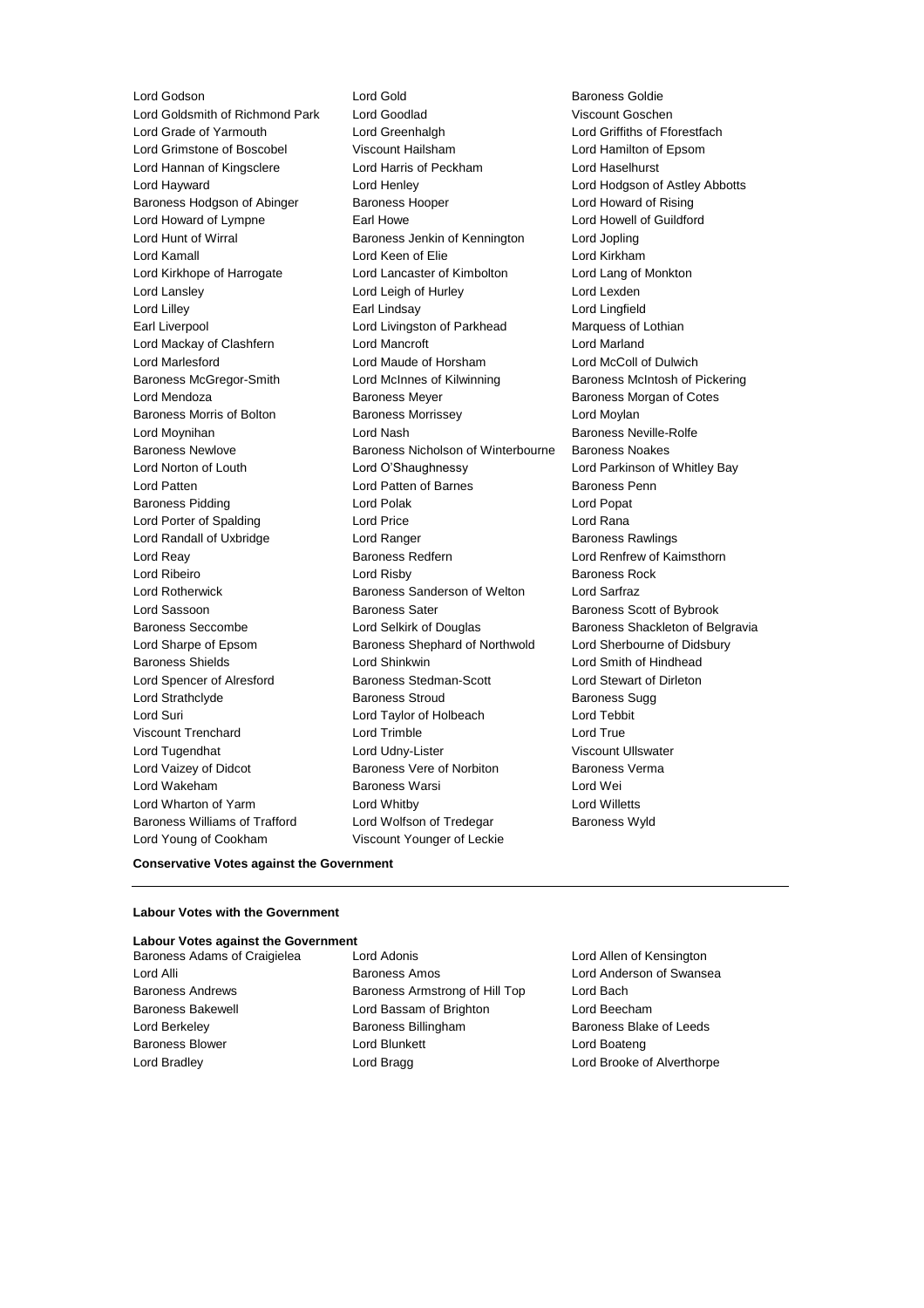Lord Goldsmith of Richmond Park Lord Goodlad Viscount Goschen Lord Grade of Yarmouth Lord Greenhalgh Lord Griffiths of Fforestfach Lord Grimstone of Boscobel Viscount Hailsham Lord Hamilton of Epsom Lord Hannan of Kingsclere Lord Harris of Peckham Lord Haselhurst Lord Hayward Lord Henley Lord Hodgson of Astley Abbotts Baroness Hodgson of Abinger Baroness Hooper Baroness Hooper Lord Howard of Rising Lord Howard of Lympne **Earl Howe** Earl Howe **Lord Howell of Guildford** Lord Hunt of Wirral Baroness Jenkin of Kennington Lord Jopling Lord Kamall Lord Keen of Elie Lord Kirkham Lord Kirkhope of Harrogate Lord Lancaster of Kimbolton Lord Lang of Monkton Lord Lansley **Lord Leigh of Hurley** Lord Lexden Lord Lilley Earl Lindsay Lord Lingfield Earl Liverpool Lord Livingston of Parkhead Marquess of Lothian Lord Mackay of Clashfern Lord Mancroft Lord Marland Lord Marlesford Lord Maude of Horsham Lord McColl of Dulwich Baroness McGregor-Smith Lord McInnes of Kilwinning Baroness McIntosh of Pickering Lord Mendoza Baroness Meyer Baroness Morgan of Cotes Baroness Morris of Bolton **Baroness Morrissey Lord Moylan** Lord Moynihan Lord Nash Baroness Neville-Rolfe Baroness Newlove Baroness Nicholson of Winterbourne Baroness Noakes Lord Norton of Louth Lord O'Shaughnessy Lord Parkinson of Whitley Bay Lord Patten **Lord Patten of Barnes** Baroness Penn Baroness Pidding **Community** Lord Polak **Lord Popation Community** Lord Popation Community Lord Popation Lord Porter of Spalding Lord Price Lord Rana Lord Randall of Uxbridge The Lord Ranger Corp. Care Baroness Rawlings Lord Reay **Baroness Redfern Baroness Redfern** Lord Renfrew of Kaimsthorn Lord Ribeiro **Lord Risby** Baroness Rock Lord Rotherwick **Baroness Sanderson of Welton** Lord Sarfraz Lord Sassoon **Baroness Sater** Baroness Scott of Bybrook Baroness Seccombe **Lord Selkirk of Douglas** Baroness Shackleton of Belgravia Lord Sharpe of Epsom Baroness Shephard of Northwold Lord Sherbourne of Didsbury Baroness Shields Lord Shinkwin Lord Smith of Hindhead Lord Spencer of Alresford Baroness Stedman-Scott Lord Stewart of Dirleton Lord Strathclyde **Baroness Stroud** Baroness Stroud Baroness Sugg Lord Suri Lord Taylor of Holbeach Lord Tebbit Viscount Trenchard **Lord Trimble** Lord True Lord Tugendhat **Lord Udny-Lister** Viscount Ullswater Lord Vaizey of Didcot **Baroness Vere of Norbiton** Baroness Verma Lord Wakeham Baroness Warsi Lord Wei Lord Wharton of Yarm Lord Whitby Lord Willetts Baroness Williams of Trafford Lord Wolfson of Tredegar Baroness Wyld Lord Young of Cookham Viscount Younger of Leckie

Lord Godson Lord Gold Baroness Goldie

# **Conservative Votes against the Government**

# **Labour Votes with the Government**

# **Labour Votes against the Government**

Baroness Adams of Craigielea Lord Adonis Lord Allen of Kensington Lord Alli Baroness Amos Lord Anderson of Swansea Baroness Andrews Baroness Armstrong of Hill Top Lord Bach Baroness Bakewell **Lord Bassam of Brighton** Lord Beecham Lord Berkeley **Baroness Billingham** Baroness Billingham Baroness Blake of Leeds Baroness Blower **Lord Blunkett** Lord Boateng Lord Boateng Lord Bradley **Lord Bragg Lord Bragg Lord Brooke of Alverthorpe**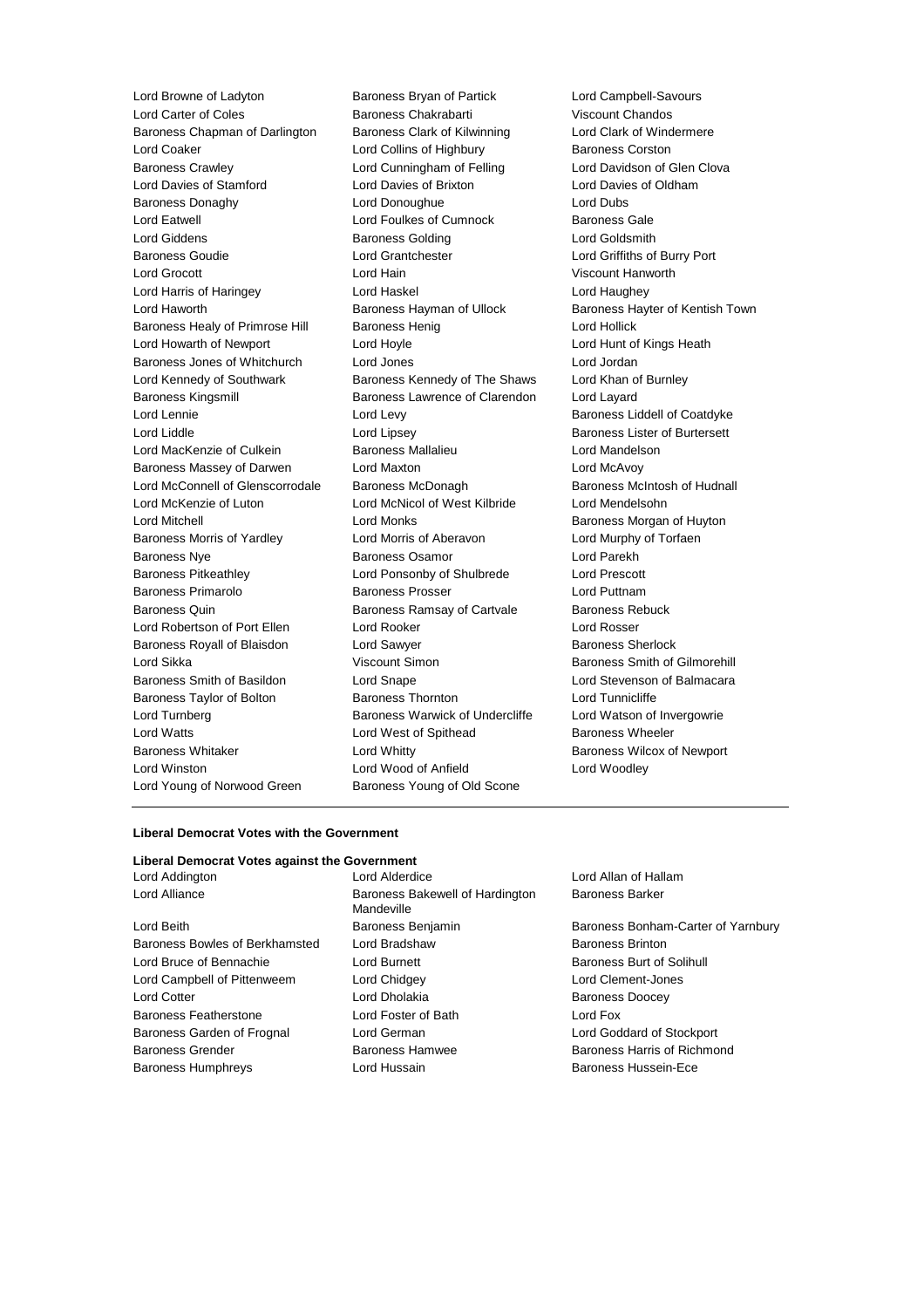Lord Browne of Ladyton **Baroness Bryan of Partick** Lord Campbell-Savours<br>
Lord Carter of Coles **Baroness Chakrabarti** Viscount Chandos Lord Carter of Coles **Baroness Chakrabarti** Viscount Chandos<br>Baroness Chapman of Darlington Baroness Clark of Kilwinning **Colembus** Lord Clark of Windermere Baroness Chapman of Darlington Baroness Clark of Kilwinning Lord Coaker **Lord Collins of Highbury** Baroness Corston Baroness Crawley **Lord Cunningham of Felling Clova** Lord Davidson of Glen Clova Lord Davies of Stamford Lord Davies of Brixton Lord Davies of Oldham Baroness Donaghy Lord Donoughue Lord Dubs Lord Eatwell **Lord Foulkes of Cumnock** Baroness Gale Lord Giddens **Baroness Golding Baroness Golding Lord Goldsmith** Baroness Goudie Lord Grantchester Lord Griffiths of Burry Port Lord Grocott Lord Hain Viscount Hanworth Lord Harris of Haringey **Lord Haskel Lord Haughey** Lord Haughey Lord Haworth **Baroness Hayman of Ullock** Baroness Hayter of Kentish Town Baroness Healy of Primrose Hill Baroness Henig Controller Lord Hollick Lord Howarth of Newport **Lord Hoyle** Lord Hoyle **Lord Lord Hunt of Kings Heath** Baroness Jones of Whitchurch Lord Jones Lord Jordan Lord Kennedy of Southwark Baroness Kennedy of The Shaws Lord Khan of Burnley Baroness Kingsmill Baroness Lawrence of Clarendon Lord Layard Lord Lennie **Lord Levy** Lord Levy **Baroness Liddell of Coatdyke** Lord Liddle Liddle Lord Lipsey Lord Lipsey Cord Lines Baroness Lister of Burtersett<br>
Lord MacKenzie of Culkein Baroness Mallalieu Lord Mandelson Lord MacKenzie of Culkein Baroness Mallalieu Lord Mandelson Baroness Massey of Darwen Lord Maxton Lord McAvoy Lord McConnell of Glenscorrodale Baroness McDonagh Baroness McIntosh of Hudnall Lord McKenzie of Luton Lord McNicol of West Kilbride Lord Mendelsohn Lord Mitchell Lord Monks Baroness Morgan of Huyton Baroness Morris of Yardley Lord Morris of Aberavon Lord Murphy of Torfaen Baroness Nye Baroness Osamor Lord Parekh Baroness Pitkeathley Lord Ponsonby of Shulbrede Lord Prescott Baroness Primarolo Baroness Prosser Lord Puttnam Baroness Quin **Baroness Ramsay of Cartvale** Baroness Rebuck Lord Robertson of Port Ellen Lord Rooker Lord Rosser Baroness Royall of Blaisdon Lord Sawyer Communication Baroness Sherlock Lord Sikka **Viscount Simon** Baroness Smith of Gilmorehill Baroness Smith of Basildon Lord Snape Lord Stevenson of Balmacara Baroness Taylor of Bolton Baroness Thornton Lord Tunnicliffe Lord Turnberg **Baroness Warwick of Undercliffe** Lord Watson of Invergowrie Lord Watts Lord West of Spithead Baroness Wheeler Baroness Whitaker **Lord Whitty Lord Whitty Baroness Wilcox of Newport** Lord Winston Lord Wood of Anfield Lord Woodley Lord Young of Norwood Green Baroness Young of Old Scone

## **Liberal Democrat Votes with the Government**

# **Liberal Democrat Votes against the Government** Lord Addington Lord Alderdice Lord Allan of Hallam Lord Alliance **Baroness Bakewell of Hardington** Mandeville Lord Beith **Baroness Benjamin** Baroness Benjamin Baroness Bonham-Carter of Yarnbury Baroness Bowles of Berkhamsted Lord Bradshaw Baroness Brinton Lord Bruce of Bennachie **Lord Burnett** Lord Burnett **Baroness Burt of Solihull** Lord Campbell of Pittenweem Lord Chidgey Lord Clement-Jones Lord Cotter Lord Dholakia Baroness Doocey Baroness Featherstone Lord Foster of Bath Lord Fox Baroness Garden of Frognal Lord German Lord Goddard of Stockport Baroness Grender Baroness Hamwee Baroness Harris of Richmond Baroness Humphreys Lord Hussain Baroness Hussein-Ece

Baroness Barker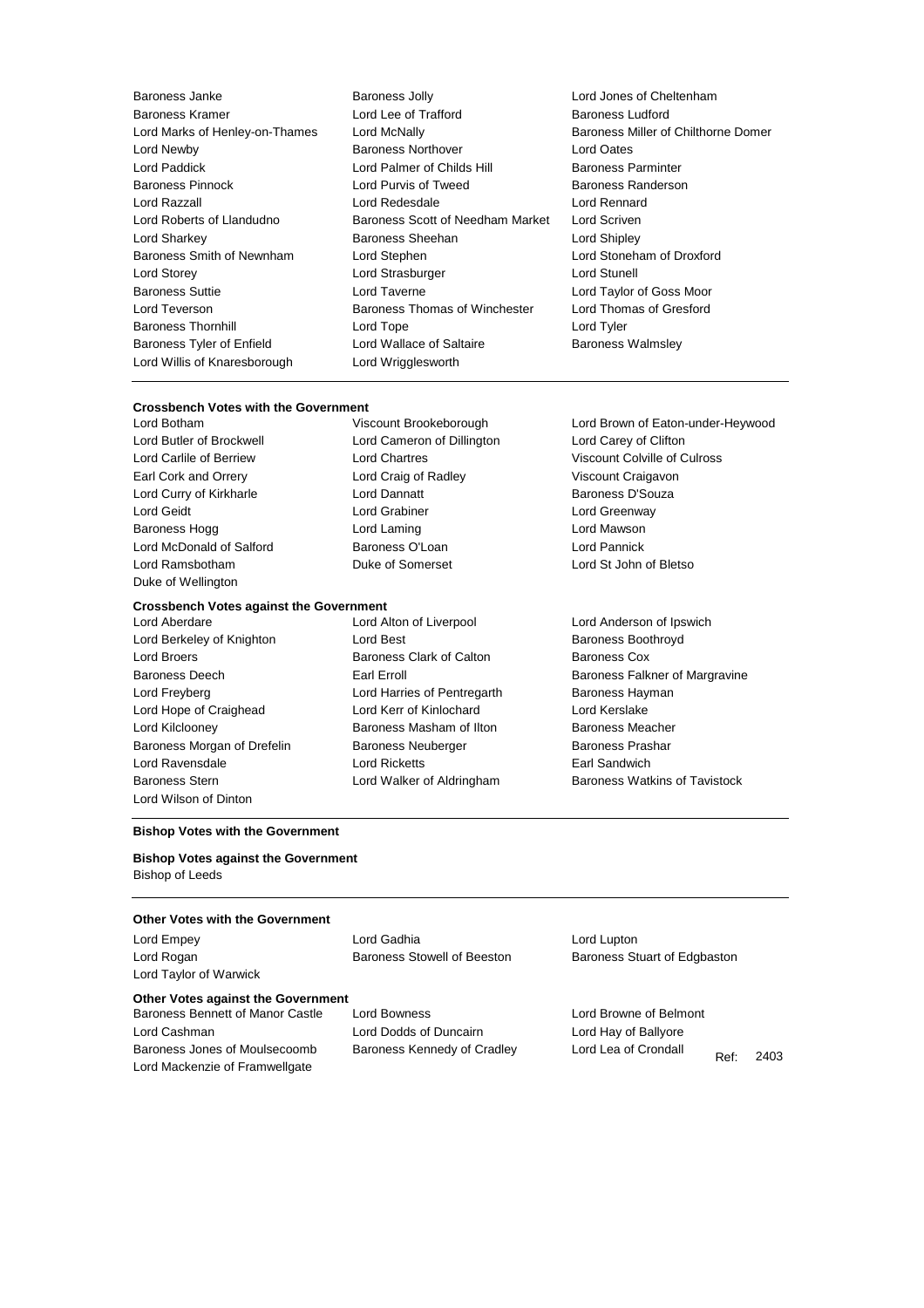Baroness Janke Baroness Jolly Lord Jones of Cheltenham Baroness Kramer **Repeated Lord Lee of Trafford** Baroness Ludford Baroness Ludford Lord Newby Baroness Northover Lord Oates Lord Paddick **Lord Palmer of Childs Hill** Baroness Parminter Baroness Pinnock **Exercise Search Conditions** Lord Purvis of Tweed Baroness Randerson Lord Roberts of Llandudno Baroness Scott of Needham Market Lord Scriven Lord Sharkey Baroness Sheehan Lord Shipley Baroness Smith of Newnham Lord Stephen Lord Stoneham of Droxford Lord Storey **Lord Strasburger** Lord Strasburger **Lord Strasburger** Lord Stunell Baroness Suttie Lord Taverne Lord Taylor of Goss Moor Lord Teverson **Baroness Thomas of Winchester** Lord Thomas of Gresford **Baroness Thornhill Connect Lord Tope Connect Lord Tyler** Connect Lord Tyler Baroness Tyler of Enfield **Lord Wallace of Saltaire** Baroness Walmsley Lord Willis of Knaresborough Lord Wrigglesworth

Lord Razzall Lord Redesdale Lord Rennard

Lord Marks of Henley-on-Thames Lord McNally Baroness Miller of Chilthorne Domer

# **Crossbench Votes with the Government**

Duke of Wellington

#### **Crossbench Votes against the Government**

- Lord Berkeley of Knighton **Lord Best** Baroness Boothroyd **Baroness** Boothroyd Lord Broers **Baroness Clark of Calton** Baroness Cox Lord Freyberg Lord Harries of Pentregarth Baroness Hayman Lord Hope of Craighead Lord Kerr of Kinlochard Lord Kerslake Lord Kilclooney Baroness Masham of Ilton Baroness Meacher Baroness Morgan of Drefelin Baroness Neuberger Baroness Prashar Lord Ravensdale Lord Ricketts Earl Sandwich Baroness Stern Lord Walker of Aldringham Baroness Watkins of Tavistock Lord Wilson of Dinton
- Lord Butler of Brockwell Lord Cameron of Dillington Lord Carey of Clifton Earl Cork and Orrery Lord Craig of Radley Viscount Craigavon Lord Curry of Kirkharle **Lord Dannatt Lord Dannatt** Baroness D'Souza Lord Geidt **Lord Grabiner** Lord Grabiner **Lord Greenway** Baroness Hogg **Lord Laming** Lord Laming **Lord Mawson** Lord McDonald of Salford **Baroness O'Loan** Baroness O'Loan Lord Pannick Lord Ramsbotham Duke of Somerset Lord St John of Bletso
- Lord Aberdare Lord Alton of Liverpool Lord Anderson of Ipswich

Lord Botham Viscount Brookeborough Lord Brown of Eaton-under-Heywood Lord Carlile of Berriew Lord Chartres Viscount Colville of Culross

Baroness Deech **Earl Erroll** Earl Erroll Baroness Falkner of Margravine

#### **Bishop Votes with the Government**

**Bishop Votes against the Government** Bishop of Leeds

## **Other Votes with the Government**

Lord Taylor of Warwick

Lord Empey **Lord Gadhia** Lord Gadhia Lord Lupton

Lord Rogan **Baroness Stowell of Beeston** Baroness Stuart of Edgbaston

# **Other Votes against the Government**

Lord Cashman Lord Dodds of Duncairn Lord Hay of Ballyore Baroness Jones of Moulsecoomb Baroness Kennedy of Cradley Lord Lea of Crondall Lord Mackenzie of Framwellgate

Baroness Bennett of Manor Castle Lord Bowness Lord Browne of Belmont

Ref: 2403